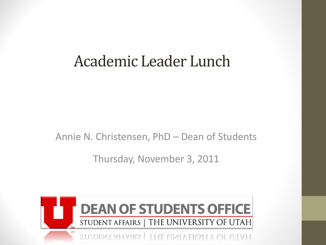# Academic Leader Lunch

Annie N. Christensen, PhD – Dean of Students

Thursday, November 3, 2011

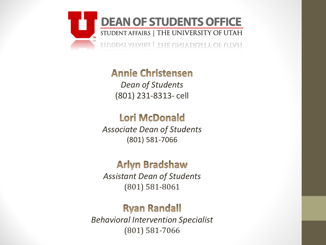

**Annie Christensen** *Dean of Students*  (801) 231-8313- cell

#### **Lori McDonald**

*Associate Dean of Students* (801) 581-7066

#### **Arlyn Bradshaw**

*Assistant Dean of Students* (801) 581-8061

#### **Ryan Randall**

*Behavioral Intervention Specialist* (801) 581-7066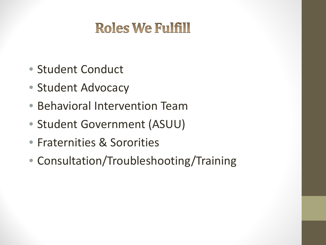# **Roles We Fulfill**

- Student Conduct
- Student Advocacy
- Behavioral Intervention Team
- Student Government (ASUU)
- Fraternities & Sororities
- Consultation/Troubleshooting/Training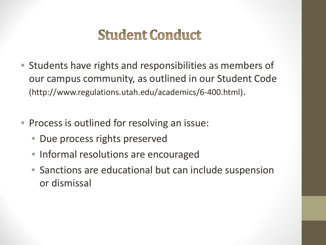# **Student Conduct**

- Students have rights and responsibilities as members of our campus community, as outlined in our Student Code (http://www.regulations.utah.edu/academics/6-400.html).
- Process is outlined for resolving an issue:
	- Due process rights preserved
	- Informal resolutions are encouraged
	- Sanctions are educational but can include suspension or dismissal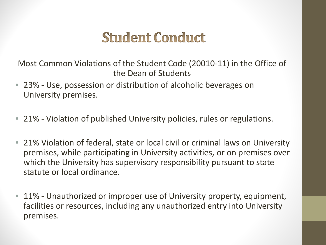## **Student Conduct**

Most Common Violations of the Student Code (20010-11) in the Office of the Dean of Students

- 23% Use, possession or distribution of alcoholic beverages on University premises.
- 21% Violation of published University policies, rules or regulations.
- 21% Violation of federal, state or local civil or criminal laws on University premises, while participating in University activities, or on premises over which the University has supervisory responsibility pursuant to state statute or local ordinance.
- 11% Unauthorized or improper use of University property, equipment, facilities or resources, including any unauthorized entry into University premises.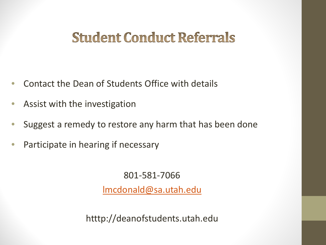## **Student Conduct Referrals**

- Contact the Dean of Students Office with details
- Assist with the investigation
- Suggest a remedy to restore any harm that has been done
- Participate in hearing if necessary

801-581-7066

[lmcdonald@sa.utah.edu](mailto:lmcdonald@sa.utah.edu)

htttp://deanofstudents.utah.edu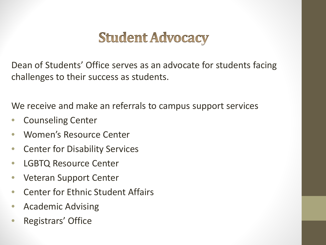# **Student Advocacy**

Dean of Students' Office serves as an advocate for students facing challenges to their success as students.

We receive and make an referrals to campus support services

- Counseling Center
- Women's Resource Center
- Center for Disability Services
- LGBTQ Resource Center
- Veteran Support Center
- Center for Ethnic Student Affairs
- Academic Advising
- Registrars' Office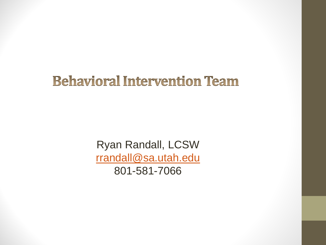#### **Behavioral Intervention Team**

Ryan Randall, LCSW [rrandall@sa.utah.edu](mailto:rrandall@sa.utah.edu) 801-581-7066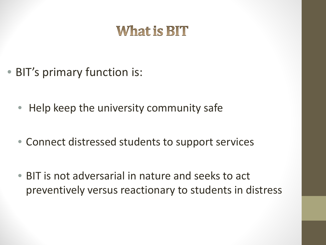# **What is BIT**

- BIT's primary function is:
	- Help keep the university community safe
	- Connect distressed students to support services
	- BIT is not adversarial in nature and seeks to act preventively versus reactionary to students in distress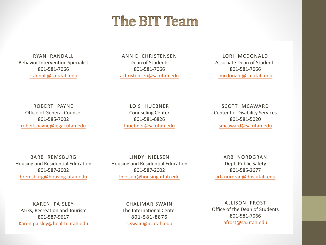#### **The BIT Team**

RYAN RANDALL Behavior Intervention Specialist 801-581-7066 rrandall@sa.utah.edu

ANNIE CHRISTENSEN Dean of Students 801-581-7066 achristensen@sa.utah.edu

LORI MCDONALD Associate Dean of Students 801-581-7066 lmcdonald@sa.utah.edu

ROBERT PAYNE Office of General Counsel 801-585-7002 robert.payne@legal.utah.edu

LOIS HUEBNER Counseling Center 801-581-6826 lhuebner@sa.utah.edu

SCOTT MCAWARD Center for Disability Services 801-581-5020 smcaward@sa.utah.edu

BARB REMSBURG Housing and Residential Education 801-587-2002 bremsburg@housing.utah.edu

LINDY NIELSEN Housing and Residential Education 801-587-2002 lnielsen@housing.utah.edu

ARB NORDGRAN Dept. Public Safety 801-585-2677 arb.nordran@dps.utah.edu

KAREN PAISLEY Parks, Recreation and Tourism 801-587-9617 Karen.paisley@health.utah.edu

CHALIMAR SWAIN The International Center 801-581-8876 [c.swain@ic.utah.edu](mailto:c.swain@ic.utah.edu)

ALLISON FROST Office of the Dean of Students 801-581-7066 [afrost@sa.utah.edu](mailto:afrost@sa.utah.edu)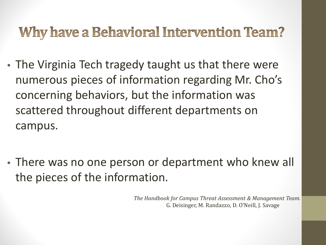# **Why have a Behavioral Intervention Team?**

- The Virginia Tech tragedy taught us that there were numerous pieces of information regarding Mr. Cho's concerning behaviors, but the information was scattered throughout different departments on campus.
- There was no one person or department who knew all the pieces of the information.

*The Handbook for Campus Threat Assessment & Management Team.*  G. Deisinger, M. Randazzo, D. O'Neill, J. Savage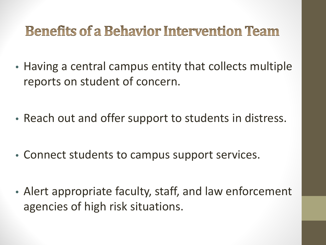# **Benefits of a Behavior Intervention Team**

- Having a central campus entity that collects multiple reports on student of concern.
- Reach out and offer support to students in distress.
- Connect students to campus support services.
- Alert appropriate faculty, staff, and law enforcement agencies of high risk situations.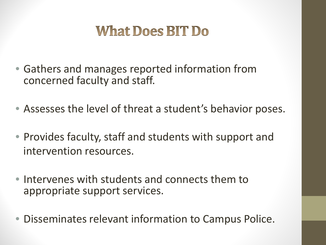# **What Does BIT Do**

- Gathers and manages reported information from concerned faculty and staff.
- Assesses the level of threat a student's behavior poses.
- Provides faculty, staff and students with support and intervention resources.
- Intervenes with students and connects them to appropriate support services.
- Disseminates relevant information to Campus Police.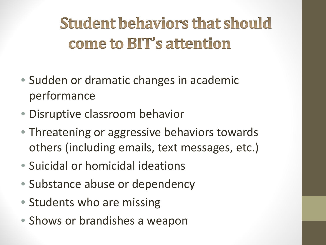# **Student behaviors that should** come to BIT's attention

- Sudden or dramatic changes in academic performance
- Disruptive classroom behavior
- Threatening or aggressive behaviors towards others (including emails, text messages, etc.)
- Suicidal or homicidal ideations
- Substance abuse or dependency
- Students who are missing
- Shows or brandishes a weapon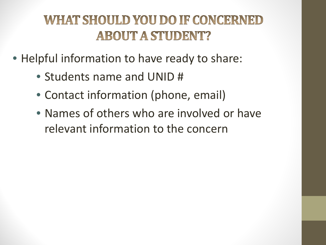### **WHAT SHOULD YOU DO IF CONCERNED ABOUT A STUDENT?**

- Helpful information to have ready to share:
	- Students name and UNID #
	- Contact information (phone, email)
	- Names of others who are involved or have relevant information to the concern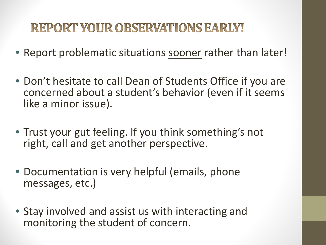#### **REPORT YOUR OBSERVATIONS EARLY!**

- Report problematic situations sooner rather than later!
- Don't hesitate to call Dean of Students Office if you are concerned about a student's behavior (even if it seems like a minor issue).
- Trust your gut feeling. If you think something's not right, call and get another perspective.
- Documentation is very helpful (emails, phone messages, etc.)
- Stay involved and assist us with interacting and monitoring the student of concern.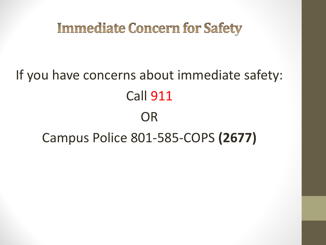## **Immediate Concern for Safety**

# If you have concerns about immediate safety: Call 911 OR Campus Police 801-585-COPS **(2677)**